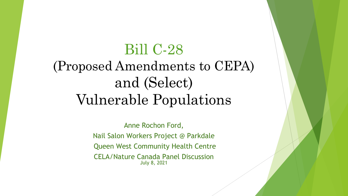#### Bill C-28

# (Proposed Amendments to CEPA) and (Select) Vulnerable Populations

Anne Rochon Ford, Nail Salon Workers Project @ Parkdale Queen West Community Health Centre CELA/Nature Canada Panel Discussion July 8, 2021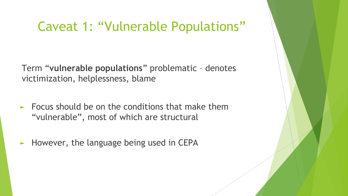#### Caveat 1: "Vulnerable Populations"

Term "**vulnerable populations**" problematic – denotes victimization, helplessness, blame

- $\blacktriangleright$  Focus should be on the conditions that make them "vulnerable", most of which are structural
- $\blacktriangleright$  However, the language being used in CEPA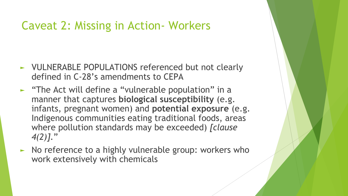#### Caveat 2: Missing in Action- Workers

- ► VULNERABLE POPULATIONS referenced but not clearly defined in C-28's amendments to CEPA
- ► "The Act will define a "vulnerable population" in a manner that captures **biological susceptibility** (e.g. infants, pregnant women) and **potential exposure** (e.g. Indigenous communities eating traditional foods, areas where pollution standards may be exceeded) *[clause 4(2)]*."
- ► No reference to a highly vulnerable group: workers who work extensively with chemicals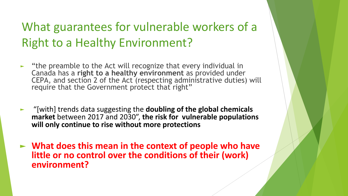### What guarantees for vulnerable workers of a Right to a Healthy Environment?

- ► "the preamble to the Act will recognize that every individual in Canada has a **right to a healthy environment** as provided under CEPA, and section 2 of the Act (respecting administrative duties) will require that the Government protect that right"
- ► "[with] trends data suggesting the **doubling of the global chemicals market** between 2017 and 2030", **the risk for vulnerable populations will only continue to rise without more protections**
- ► **What does this mean in the context of people who have little or no control over the conditions of their (work) environment?**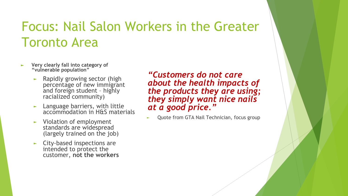# Focus: Nail Salon Workers in the Greater Toronto Area

- ► **Very clearly fall into category of "vulnerable population"**
	- ► Rapidly growing sector (high percentage of new immigrant and foreign student – highly racialized community)
	- $\blacktriangleright$  Language barriers, with little accommodation in H&S materials
	- ► Violation of employment standards are widespread (largely trained on the job)
	- ► City-based inspections are intended to protect the customer, **not the workers**

*"Customers do not care about the health impacts of the products they are using; they simply want nice nails at a good price."*

Quote from GTA Nail Technician, focus group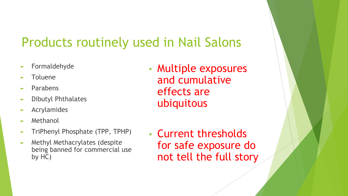## Products routinely used in Nail Salons

- ► Formaldehyde
- Toluene
- Parabens
- ► Dibutyl Phthalates
- ► Acrylamides
- **Methanol**
- ► TriPhenyl Phosphate (TPP, TPHP)
- ► Methyl Methacrylates (despite being banned for commercial use by HC)
- Multiple exposures and cumulative effects are ubiquitous
- Current thresholds for safe exposure do not tell the full story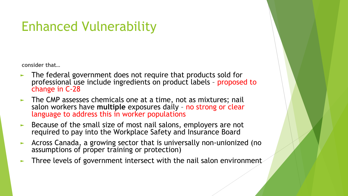# Enhanced Vulnerability

**consider that…**

- ► The federal government does not require that products sold for professional use include ingredients on product labels – proposed to change in C-28
- The CMP assesses chemicals one at a time, not as mixtures; nail salon workers have **multiple** exposures daily – no strong or clear language to address this in worker populations
- Because of the small size of most nail salons, employers are not required to pay into the Workplace Safety and Insurance Board
- ► Across Canada, a growing sector that is universally non-unionized (no assumptions of proper training or protection)
- Three levels of government intersect with the nail salon environment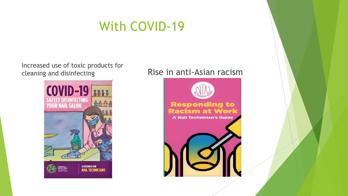#### With COVID-19

Increased use of toxic products for cleaning and disinfecting **Rise in anti-Asian racism** 



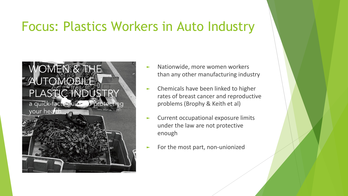#### Focus: Plastics Workers in Auto Industry

#### WOMEN<sup>&</sup> THE AUTOMOBIL PLASTIC INDU

a quick-facts guide to protecting



- Nationwide, more women workers than any other manufacturing industry
- ► Chemicals have been linked to higher rates of breast cancer and reproductive problems (Brophy & Keith et al)
- Current occupational exposure limits under the law are not protective enough
- For the most part, non-unionized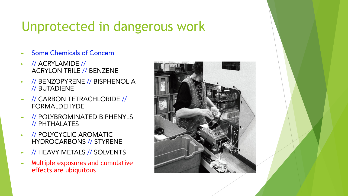## Unprotected in dangerous work

- Some Chemicals of Concern
- ► // ACRYLAMIDE // ACRYLONITRILE // BENZENE
- ► // BENZOPYRENE // BISPHENOL A // BUTADIENE
- ► // CARBON TETRACHLORIDE // FORMALDEHYDE
- ► // POLYBROMINATED BIPHENYLS // PHTHALATES
- ► // POLYCYCLIC AROMATIC HYDROCARBONS // STYRENE
- ► // HEAVY METALS // SOLVENTS
- ► Multiple exposures and cumulative effects are ubiquitous

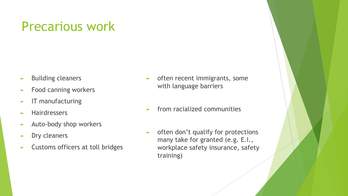## Precarious work

- ► Building cleaners
- ► Food canning workers
- ► IT manufacturing
- ► Hairdressers
- ► Auto-body shop workers
- ► Dry cleaners
- ► Customs officers at toll bridges
- ► often recent immigrants, some with language barriers
- ► from racialized communities
- ► often don't qualify for protections many take for granted (e.g. E.I., workplace safety insurance, safety training)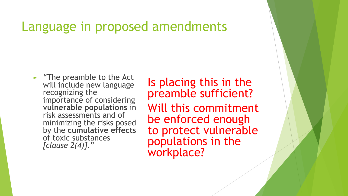#### Language in proposed amendments

► "The preamble to the Act will include new language recognizing the importance of considering **vulnerable populations** in risk assessments and of minimizing the risks posed by the **cumulative effects** of toxic substances *[clause 2(4)]*."

Is placing this in the preamble sufficient? Will this commitment be enforced enough to protect vulnerable populations in the workplace?